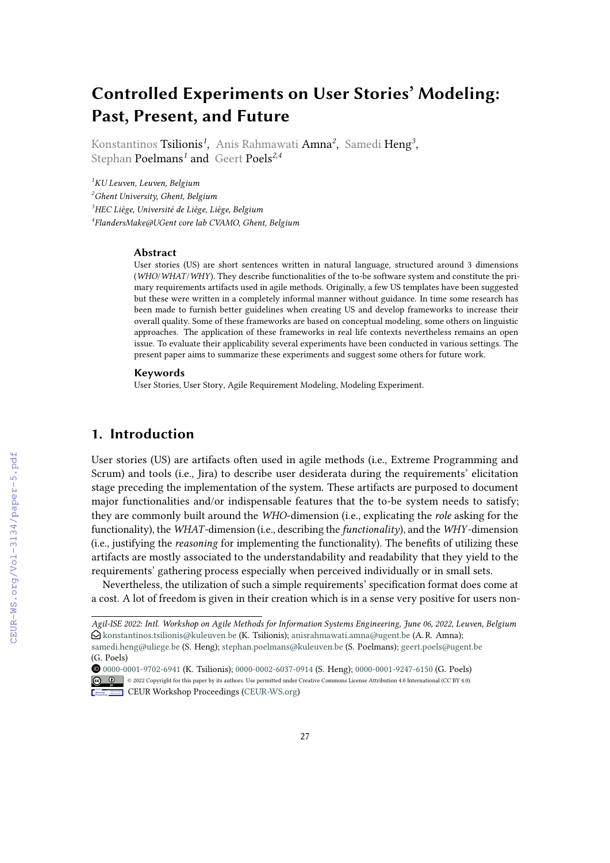# **Controlled Experiments on User Stories' Modeling: Past, Present, and Future**

Konstantinos Tsilionis*<sup>1</sup>* , Anis Rahmawati Amna*<sup>2</sup>* , Samedi Heng*<sup>3</sup>* , Stephan Poelmans*<sup>1</sup>* and Geert Poels*2,4*

*KU Leuven, Leuven, Belgium Ghent University, Ghent, Belgium HEC Liège, Université de Liège, Liège, Belgium FlandersMake@UGent core lab CVAMO, Ghent, Belgium*

#### **Abstract**

User stories (US) are short sentences written in natural language, structured around 3 dimensions (*WHO*/*WHAT*/*WHY*). They describe functionalities of the to-be software system and constitute the primary requirements artifacts used in agile methods. Originally, a few US templates have been suggested but these were written in a completely informal manner without guidance. In time some research has been made to furnish better guidelines when creating US and develop frameworks to increase their overall quality. Some of these frameworks are based on conceptual modeling, some others on linguistic approaches. The application of these frameworks in real life contexts nevertheless remains an open issue. To evaluate their applicability several experiments have been conducted in various settings. The present paper aims to summarize these experiments and suggest some others for future work.

#### **Keywords**

User Stories, User Story, Agile Requirement Modeling, Modeling Experiment.

### **1. Introduction**

User stories (US) are artifacts often used in agile methods (i.e., Extreme Programming and Scrum) and tools (i.e., Jira) to describe user desiderata during the requirements' elicitation stage preceding the implementation of the system. These artifacts are purposed to document major functionalities and/or indispensable features that the to-be system needs to satisfy; they are commonly built around the *WHO*-dimension (i.e., explicating the *role* asking for the functionality), the *WHAT*-dimension (i.e., describing the *functionality*), and the *WHY*-dimension (i.e., justifying the *reasoning* for implementing the functionality). The benefits of utilizing these artifacts are mostly associated to the understandability and readability that they yield to the requirements' gathering process especially when perceived individually or in small sets.

Nevertheless, the utilization of such a simple requirements' specification format does come at a cost. A lot of freedom is given in their creation which is in a sense very positive for users non-

*Agil-ISE 2022: Intl. Workshop on Agile Methods for Information Systems Engineering, June 06, 2022, Leuven, Belgium*  $\Theta$  [konstantinos.tsilionis@kuleuven.be](mailto:konstantinos.tsilionis@kuleuven.be) (K. Tsilionis); [anisrahmawati.amna@ugent.be](mailto:anisrahmawati.amna@ugent.be) (A. R. Amna); [samedi.heng@uliege.be](mailto:samedi.heng@uliege.be) (S. Heng); [stephan.poelmans@kuleuven.be](mailto:stephan.poelmans@kuleuven.be) (S. Poelmans); [geert.poels@ugent.be](mailto:geert.poels@ugent.be)

<sup>(</sup>G. Poels)

[0000-0001-9702-6941](https://orcid.org/0000-0001-9702-6941) (K. Tsilionis); [0000-0002-6037-0914](https://orcid.org/0000-0002-6037-0914) (S. Heng); [0000-0001-9247-6150](https://orcid.org/0000-0001-9247-6150) (G. Poels) © 2022 Copyright for this paper by its authors. Use permitted under Creative Commons License Attribution 4.0 International (CC BY 4.0). **CEUR Workshop [Proceedings](http://ceur-ws.org) [\(CEUR-WS.org\)](http://ceur-ws.org)**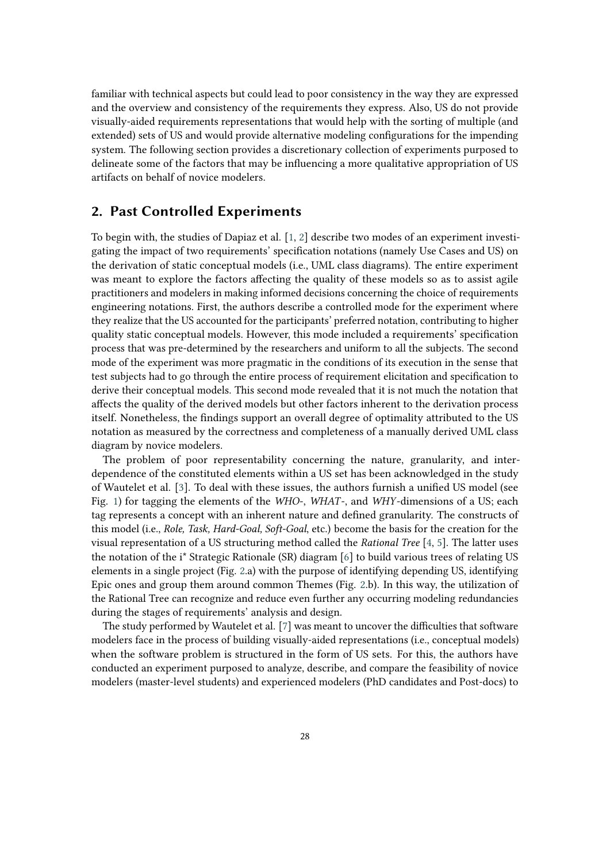familiar with technical aspects but could lead to poor consistency in the way they are expressed and the overview and consistency of the requirements they express. Also, US do not provide visually-aided requirements representations that would help with the sorting of multiple (and extended) sets of US and would provide alternative modeling configurations for the impending system. The following section provides a discretionary collection of experiments purposed to delineate some of the factors that may be influencing a more qualitative appropriation of US artifacts on behalf of novice modelers.

### **2. Past Controlled Experiments**

To begin with, the studies of Dapiaz et al. [\[1,](#page-4-0) [2\]](#page-5-0) describe two modes of an experiment investigating the impact of two requirements' specification notations (namely Use Cases and US) on the derivation of static conceptual models (i.e., UML class diagrams). The entire experiment was meant to explore the factors affecting the quality of these models so as to assist agile practitioners and modelers in making informed decisions concerning the choice of requirements engineering notations. First, the authors describe a controlled mode for the experiment where they realize that the US accounted for the participants' preferred notation, contributing to higher quality static conceptual models. However, this mode included a requirements' specification process that was pre-determined by the researchers and uniform to all the subjects. The second mode of the experiment was more pragmatic in the conditions of its execution in the sense that test subjects had to go through the entire process of requirement elicitation and specification to derive their conceptual models. This second mode revealed that it is not much the notation that affects the quality of the derived models but other factors inherent to the derivation process itself. Nonetheless, the findings support an overall degree of optimality attributed to the US notation as measured by the correctness and completeness of a manually derived UML class diagram by novice modelers.

The problem of poor representability concerning the nature, granularity, and interdependence of the constituted elements within a US set has been acknowledged in the study of Wautelet et al. [\[3\]](#page-5-1). To deal with these issues, the authors furnish a unified US model (see Fig. [1\)](#page-2-0) for tagging the elements of the *WHO*-, *WHAT*-, and *WHY*-dimensions of a US; each tag represents a concept with an inherent nature and defined granularity. The constructs of this model (i.e., *Role, Task, Hard-Goal, Soft-Goal*, etc.) become the basis for the creation for the visual representation of a US structuring method called the *Rational Tree* [\[4,](#page-5-2) [5\]](#page-5-3). The latter uses the notation of the i\* Strategic Rationale (SR) diagram [\[6\]](#page-5-4) to build various trees of relating US elements in a single project (Fig. [2.](#page-2-1)a) with the purpose of identifying depending US, identifying Epic ones and group them around common Themes (Fig. [2.](#page-2-1)b). In this way, the utilization of the Rational Tree can recognize and reduce even further any occurring modeling redundancies during the stages of requirements' analysis and design.

The study performed by Wautelet et al. [\[7\]](#page-5-5) was meant to uncover the difficulties that software modelers face in the process of building visually-aided representations (i.e., conceptual models) when the software problem is structured in the form of US sets. For this, the authors have conducted an experiment purposed to analyze, describe, and compare the feasibility of novice modelers (master-level students) and experienced modelers (PhD candidates and Post-docs) to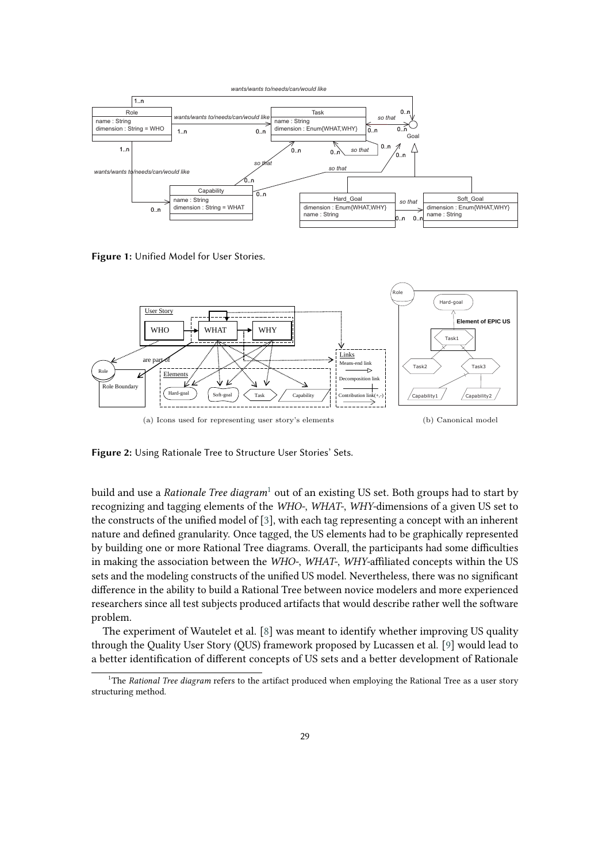

<span id="page-2-0"></span>**Figure 1:** Unified Model for User Stories.



<span id="page-2-1"></span>Figure 2: Using Rationale Tree to Structure User Stories' Sets.

problem. nature and defined granularity. Once tagged, the US elements had to be graphically represented the constructs of the unified model of [\[3\]](#page-5-1), with each tag representing a concept with an inherent by building one or more Rational Tree diagrams. Overall, the participants had some difficulties build and use a *Rationale Tree diagram*<sup>[1](#page-2-2)</sup> out of an existing US set. Both groups had to start by in making the association between the *WHO-*, *WHAT-*, *WHY*-affiliated concepts within the US User Strategic Rational Diagram (Superior Strategic Rational Diagram (SPD) Strategic Rational Diagram (SPD) Strategic Rational Diagram (SPD) Strategic Rational Diagram (SPD) Strategic Rational Diagram (SPD) Strategic Ratio difference in the ability to build a Rational Tree between novice modelers and more experienced recognizing and tagging elements of the *WHO-*, *WHAT-*, *WHY-*dimensions of a given US set to sets and the modeling constructs of the unified US model. Nevertheless, there was no significant researchers since all test subjects produced artifacts that would describe rather well the software

The experiment of Wautelet et al. [\[8\]](#page-5-6) was meant to identify whether improving US quality through the Quality User Story (QUS) framework proposed by Lucassen et al. [\[9\]](#page-5-7) would lead to a better identification of different concepts of US sets and a better development of Rationale

<span id="page-2-2"></span><sup>&</sup>lt;sup>1</sup>The *Rational Tree diagram* refers to the artifact produced when employing the Rational Tree as a user story structuring method.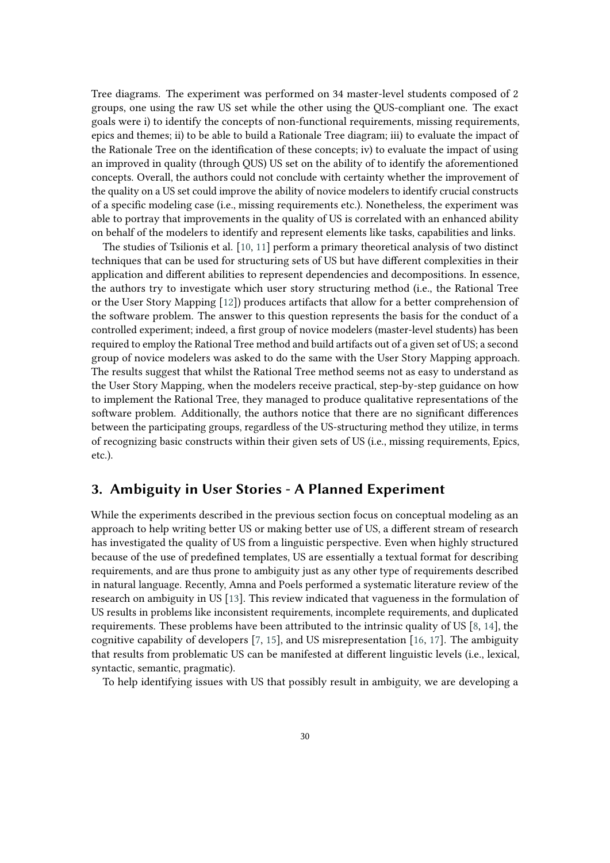Tree diagrams. The experiment was performed on 34 master-level students composed of 2 groups, one using the raw US set while the other using the QUS-compliant one. The exact goals were i) to identify the concepts of non-functional requirements, missing requirements, epics and themes; ii) to be able to build a Rationale Tree diagram; iii) to evaluate the impact of the Rationale Tree on the identification of these concepts; iv) to evaluate the impact of using an improved in quality (through QUS) US set on the ability of to identify the aforementioned concepts. Overall, the authors could not conclude with certainty whether the improvement of the quality on a US set could improve the ability of novice modelers to identify crucial constructs of a specific modeling case (i.e., missing requirements etc.). Nonetheless, the experiment was able to portray that improvements in the quality of US is correlated with an enhanced ability on behalf of the modelers to identify and represent elements like tasks, capabilities and links.

The studies of Tsilionis et al. [\[10,](#page-5-8) [11\]](#page-5-9) perform a primary theoretical analysis of two distinct techniques that can be used for structuring sets of US but have different complexities in their application and different abilities to represent dependencies and decompositions. In essence, the authors try to investigate which user story structuring method (i.e., the Rational Tree or the User Story Mapping [\[12\]](#page-5-10)) produces artifacts that allow for a better comprehension of the software problem. The answer to this question represents the basis for the conduct of a controlled experiment; indeed, a first group of novice modelers (master-level students) has been required to employ the Rational Tree method and build artifacts out of a given set of US; a second group of novice modelers was asked to do the same with the User Story Mapping approach. The results suggest that whilst the Rational Tree method seems not as easy to understand as the User Story Mapping, when the modelers receive practical, step-by-step guidance on how to implement the Rational Tree, they managed to produce qualitative representations of the software problem. Additionally, the authors notice that there are no significant differences between the participating groups, regardless of the US-structuring method they utilize, in terms of recognizing basic constructs within their given sets of US (i.e., missing requirements, Epics, etc.).

#### **3. Ambiguity in User Stories - A Planned Experiment**

While the experiments described in the previous section focus on conceptual modeling as an approach to help writing better US or making better use of US, a different stream of research has investigated the quality of US from a linguistic perspective. Even when highly structured because of the use of predefined templates, US are essentially a textual format for describing requirements, and are thus prone to ambiguity just as any other type of requirements described in natural language. Recently, Amna and Poels performed a systematic literature review of the research on ambiguity in US [\[13\]](#page-5-11). This review indicated that vagueness in the formulation of US results in problems like inconsistent requirements, incomplete requirements, and duplicated requirements. These problems have been attributed to the intrinsic quality of US [\[8,](#page-5-6) [14\]](#page-5-12), the cognitive capability of developers [\[7,](#page-5-5) [15\]](#page-5-13), and US misrepresentation [\[16,](#page-5-14) [17\]](#page-5-15). The ambiguity that results from problematic US can be manifested at different linguistic levels (i.e., lexical, syntactic, semantic, pragmatic).

To help identifying issues with US that possibly result in ambiguity, we are developing a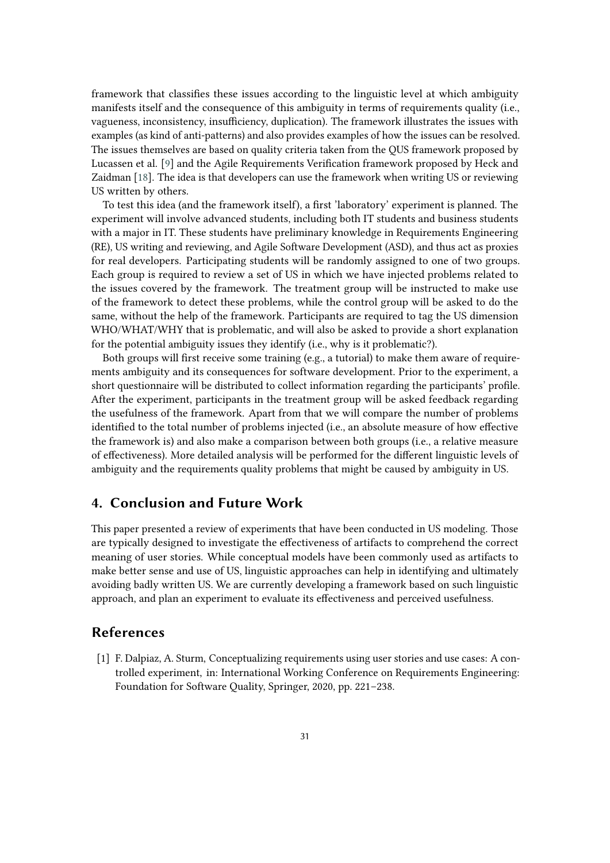framework that classifies these issues according to the linguistic level at which ambiguity manifests itself and the consequence of this ambiguity in terms of requirements quality (i.e., vagueness, inconsistency, insufficiency, duplication). The framework illustrates the issues with examples (as kind of anti-patterns) and also provides examples of how the issues can be resolved. The issues themselves are based on quality criteria taken from the QUS framework proposed by Lucassen et al. [\[9\]](#page-5-7) and the Agile Requirements Verification framework proposed by Heck and Zaidman [\[18\]](#page-5-16). The idea is that developers can use the framework when writing US or reviewing US written by others.

To test this idea (and the framework itself), a first 'laboratory' experiment is planned. The experiment will involve advanced students, including both IT students and business students with a major in IT. These students have preliminary knowledge in Requirements Engineering (RE), US writing and reviewing, and Agile Software Development (ASD), and thus act as proxies for real developers. Participating students will be randomly assigned to one of two groups. Each group is required to review a set of US in which we have injected problems related to the issues covered by the framework. The treatment group will be instructed to make use of the framework to detect these problems, while the control group will be asked to do the same, without the help of the framework. Participants are required to tag the US dimension WHO/WHAT/WHY that is problematic, and will also be asked to provide a short explanation for the potential ambiguity issues they identify (i.e., why is it problematic?).

Both groups will first receive some training (e.g., a tutorial) to make them aware of requirements ambiguity and its consequences for software development. Prior to the experiment, a short questionnaire will be distributed to collect information regarding the participants' profile. After the experiment, participants in the treatment group will be asked feedback regarding the usefulness of the framework. Apart from that we will compare the number of problems identified to the total number of problems injected (i.e., an absolute measure of how effective the framework is) and also make a comparison between both groups (i.e., a relative measure of effectiveness). More detailed analysis will be performed for the different linguistic levels of ambiguity and the requirements quality problems that might be caused by ambiguity in US.

## **4. Conclusion and Future Work**

This paper presented a review of experiments that have been conducted in US modeling. Those are typically designed to investigate the effectiveness of artifacts to comprehend the correct meaning of user stories. While conceptual models have been commonly used as artifacts to make better sense and use of US, linguistic approaches can help in identifying and ultimately avoiding badly written US. We are currently developing a framework based on such linguistic approach, and plan an experiment to evaluate its effectiveness and perceived usefulness.

#### **References**

<span id="page-4-0"></span>[1] F. Dalpiaz, A. Sturm, Conceptualizing requirements using user stories and use cases: A controlled experiment, in: International Working Conference on Requirements Engineering: Foundation for Software Quality, Springer, 2020, pp. 221–238.